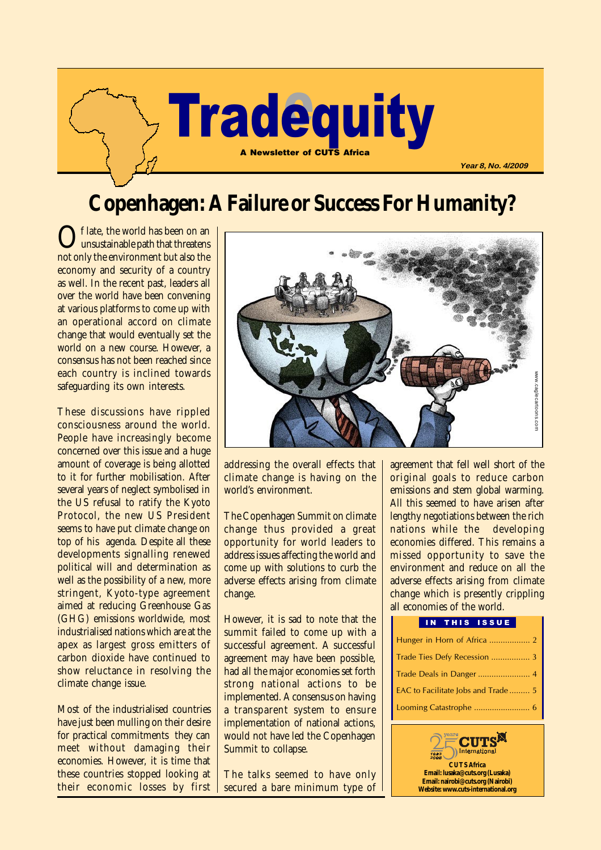

# **Copenhagen: A Failure or Success For Humanity?**

Of late, the world has been on an<br>unsustainable path that threatens not only the environment but also the economy and security of a country as well. In the recent past, leaders all over the world have been convening at various platforms to come up with an operational accord on climate change that would eventually set the world on a new course. However, a consensus has not been reached since each country is inclined towards safeguarding its own interests.

These discussions have rippled consciousness around the world. People have increasingly become concerned over this issue and a huge amount of coverage is being allotted to it for further mobilisation. After several years of neglect symbolised in the US refusal to ratify the Kyoto Protocol, the new US President seems to have put climate change on top of his agenda. Despite all these developments signalling renewed political will and determination as well as the possibility of a new, more stringent, Kyoto-type agreement aimed at reducing Greenhouse Gas (GHG) emissions worldwide, most industrialised nations which are at the apex as largest gross emitters of carbon dioxide have continued to show reluctance in resolving the climate change issue.

Most of the industrialised countries have just been mulling on their desire for practical commitments they can meet without damaging their economies. However, it is time that these countries stopped looking at their economic losses by first



addressing the overall effects that climate change is having on the world's environment.

The Copenhagen Summit on climate change thus provided a great opportunity for world leaders to address issues affecting the world and come up with solutions to curb the adverse effects arising from climate change.

However, it is sad to note that the summit failed to come up with a successful agreement. A successful agreement may have been possible, had all the major economies set forth strong national actions to be implemented. A consensus on having a transparent system to ensure implementation of national actions, would not have led the Copenhagen Summit to collapse.

The talks seemed to have only secured a bare minimum type of agreement that fell well short of the original goals to reduce carbon emissions and stem global warming. All this seemed to have arisen after lengthy negotiations between the rich nations while the developing economies differed. This remains a missed opportunity to save the environment and reduce on all the adverse effects arising from climate change which is presently crippling all economies of the world.

## IN THIS ISSUE

| Trade Ties Defy Recession  3       |
|------------------------------------|
|                                    |
| EAC to Facilitate Jobs and Trade 5 |
|                                    |

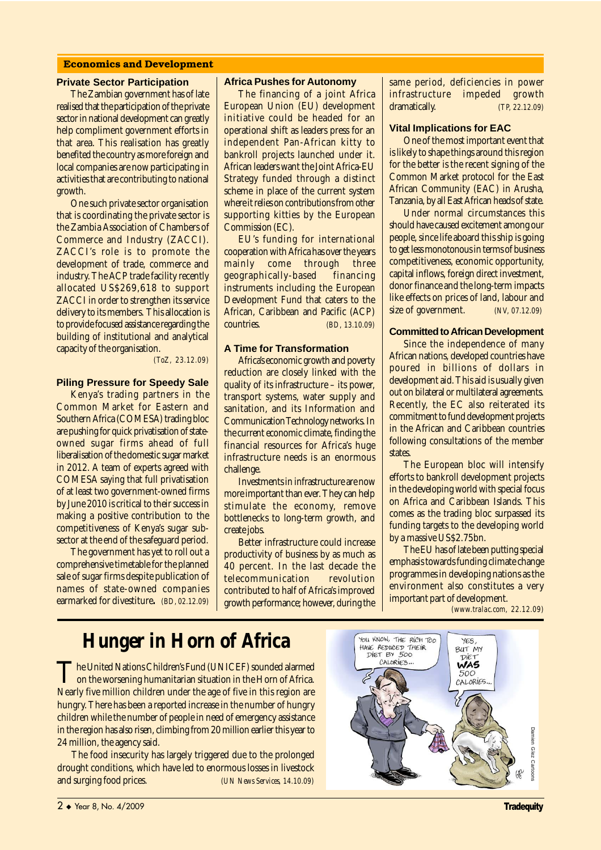#### **Economics and Development**

#### **Private Sector Participation**

The Zambian government has of late realised that the participation of the private sector in national development can greatly help compliment government efforts in that area. This realisation has greatly benefited the country as more foreign and local companies are now participating in activities that are contributing to national growth.

One such private sector organisation that is coordinating the private sector is the Zambia Association of Chambers of Commerce and Industry (ZACCI). ZACCI's role is to promote the development of trade, commerce and industry. The ACP trade facility recently allocated US\$269,618 to support ZACCI in order to strengthen its service delivery to its members. This allocation is to provide focused assistance regarding the building of institutional and analytical capacity of the organisation.

*(ToZ, 23.12.09)*

## **Piling Pressure for Speedy Sale**

Kenya's trading partners in the Common Market for Eastern and Southern Africa (COMESA) trading bloc are pushing for quick privatisation of stateowned sugar firms ahead of full liberalisation of the domestic sugar market in 2012. A team of experts agreed with COMESA saying that full privatisation of at least two government-owned firms by June 2010 is critical to their success in making a positive contribution to the competitiveness of Kenya's sugar subsector at the end of the safeguard period.

The government has yet to roll out a comprehensive timetable for the planned sale of sugar firms despite publication of names of state-owned companies earmarked for divestiture**.** *(BD, 02.12.09)*

#### **Africa Pushes for Autonomy**

The financing of a joint Africa European Union (EU) development initiative could be headed for an operational shift as leaders press for an independent Pan-African kitty to bankroll projects launched under it. African leaders want the Joint Africa-EU Strategy funded through a distinct scheme in place of the current system where it relies on contributions from other supporting kitties by the European Commission (EC).

EU's funding for international cooperation with Africa has over the years mainly come through three geographically-based financing instruments including the European Development Fund that caters to the African, Caribbean and Pacific (ACP)<br>
countries. (BD 13.10.09) countries. *(BD, 13.10.09)*

#### **A Time for Transformation**

Africa's economic growth and poverty reduction are closely linked with the quality of its infrastructure – its power, transport systems, water supply and sanitation, and its Information and Communication Technology networks. In the current economic climate, finding the financial resources for Africa's huge infrastructure needs is an enormous challenge.

Investments in infrastructure are now more important than ever. They can help stimulate the economy, remove bottlenecks to long-term growth, and create jobs.

Better infrastructure could increase productivity of business by as much as 40 percent. In the last decade the telecommunication revolution contributed to half of Africa's improved growth performance; however, during the same period, deficiencies in power infrastructure impeded growth dramatically. *(TP, 22.12.09)*

### **Vital Implications for EAC**

One of the most important event that is likely to shape things around this region for the better is the recent signing of the Common Market protocol for the East African Community (EAC) in Arusha, Tanzania, by all East African heads of state.

Under normal circumstances this should have caused excitement among our people, since life aboard this ship is going to get less monotonous in terms of business competitiveness, economic opportunity, capital inflows, foreign direct investment, donor finance and the long-term impacts like effects on prices of land, labour and size of government. *(NV, 07.12.09)*

#### **Committed to African Development**

Since the independence of many African nations, developed countries have poured in billions of dollars in development aid. This aid is usually given out on bilateral or multilateral agreements. Recently, the EC also reiterated its commitment to fund development projects in the African and Caribbean countries following consultations of the member states.

The European bloc will intensify efforts to bankroll development projects in the developing world with special focus on Africa and Caribbean Islands. This comes as the trading bloc surpassed its funding targets to the developing world by a massive US\$2.75bn.

The EU has of late been putting special emphasis towards funding climate change programmes in developing nations as the environment also constitutes a very important part of development.

*(www.tralac.com, 22.12.09)*

# **Hunger in Horn of Africa**

The United Nations Children's Fund (UNICEF) sounded alarmed<br>on the worsening humanitarian situation in the Horn of Africa. Nearly five million children under the age of five in this region are hungry. There has been a reported increase in the number of hungry children while the number of people in need of emergency assistance in the region has also risen, climbing from 20 million earlier this year to 24 million, the agency said.

The food insecurity has largely triggered due to the prolonged drought conditions, which have led to enormous losses in livestock and surging food prices. *(UN News Services, 14.10.09)*

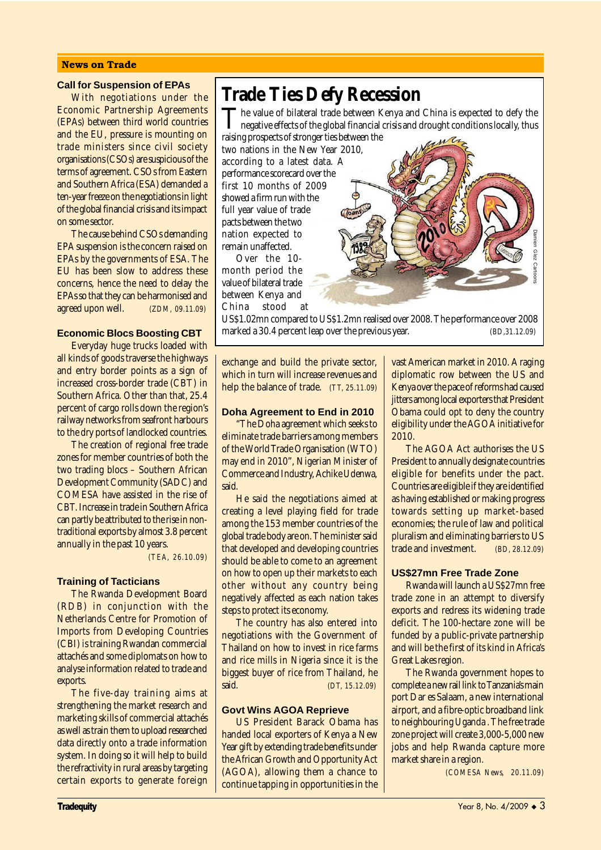#### **News on Trade**

#### **Call for Suspension of EPAs**

With negotiations under the Economic Partnership Agreements (EPAs) between third world countries and the EU, pressure is mounting on trade ministers since civil society organisations (CSOs) are suspicious of the terms of agreement. CSOs from Eastern and Southern Africa (ESA) demanded a ten-year freeze on the negotiations in light of the global financial crisis and its impact on some sector.

The cause behind CSOs demanding EPA suspension is the concern raised on EPAs by the governments of ESA. The EU has been slow to address these concerns, hence the need to delay the EPAs so that they can be harmonised and agreed upon well. *(ZDM, 09.11.09)*

### **Economic Blocs Boosting CBT**

Everyday huge trucks loaded with all kinds of goods traverse the highways and entry border points as a sign of increased cross-border trade (CBT) in Southern Africa. Other than that, 25.4 percent of cargo rolls down the region's railway networks from seafront harbours to the dry ports of landlocked countries.

The creation of regional free trade zones for member countries of both the two trading blocs – Southern African Development Community (SADC) and COMESA have assisted in the rise of CBT. Increase in trade in Southern Africa can partly be attributed to the rise in nontraditional exports by almost 3.8 percent annually in the past 10 years.

*(TEA, 26.10.09)*

#### **Training of Tacticians**

The Rwanda Development Board (RDB) in conjunction with the Netherlands Centre for Promotion of Imports from Developing Countries (CBI) is training Rwandan commercial attachés and some diplomats on how to analyse information related to trade and exports.

The five-day training aims at strengthening the market research and marketing skills of commercial attachés as well as train them to upload researched data directly onto a trade information system. In doing so it will help to build the refractivity in rural areas by targeting certain exports to generate foreign

## **Trade Ties Defy Recession**

The value of bilateral trade between Kenya and China is expected to defy the negative effects of the global financial crisis and drought conditions locally, thus raising prospects of stronger ties between the

two nations in the New Year 2010, according to a latest data. A performance scorecard over the first 10 months of 2009 showed a firm run with the full year value of trade pacts between the two nation expected to remain unaffected.

Over the 10 month period the value of bilateral trade between Kenya and China stood at

US\$1.02mn compared to US\$1.2mn realised over 2008. The performance over 2008 mation expected to<br>
The second at a stock of bilateral trade<br>
walue of bilateral trade<br>
between Kenya and<br>
China stock at<br>
US\$1.02mn compared to US\$1.2mn realised over 2008. The performance over 2008<br>
marked a 30.4 percent

exchange and build the private sector, which in turn will increase revenues and help the balance of trade. *(TT, 25.11.09)*

#### **Doha Agreement to End in 2010**

"The Doha agreement which seeks to eliminate trade barriers among members of the World Trade Organisation (WTO) may end in 2010", Nigerian Minister of Commerce and Industry, Achike Udenwa, **hicz** 

He said the negotiations aimed at creating a level playing field for trade among the 153 member countries of the global trade body are on. The minister said that developed and developing countries should be able to come to an agreement on how to open up their markets to each other without any country being negatively affected as each nation takes steps to protect its economy.

The country has also entered into negotiations with the Government of Thailand on how to invest in rice farms and rice mills in Nigeria since it is the biggest buyer of rice from Thailand, he said. *(DT, 15.12.09)*

#### **Govt Wins AGOA Reprieve**

US President Barack Obama has handed local exporters of Kenya a New Year gift by extending trade benefits under the African Growth and Opportunity Act (AGOA), allowing them a chance to continue tapping in opportunities in the

vast American market in 2010. A raging diplomatic row between the US and Kenya over the pace of reforms had caused iitters among local exporters that President Obama could opt to deny the country eligibility under the AGOA initiative for 2010.

The AGOA Act authorises the US President to annually designate countries eligible for benefits under the pact. Countries are eligible if they are identified as having established or making progress towards setting up market-based economies; the rule of law and political pluralism and eliminating barriers to US trade and investment. *(BD, 28.12.09)*

### **US\$27mn Free Trade Zone**

Rwanda will launch a US\$27mn free trade zone in an attempt to diversify exports and redress its widening trade deficit. The 100-hectare zone will be funded by a public-private partnership and will be the first of its kind in Africa's Great Lakes region.

The Rwanda government hopes to complete a new rail link to Tanzania's main port Dar es Salaam, a new international airport, and a fibre-optic broadband link to neighbouring Uganda . The free trade zone project will create 3,000-5,000 new jobs and help Rwanda capture more market share in a region.

*(COMESA News, 20.11.09)*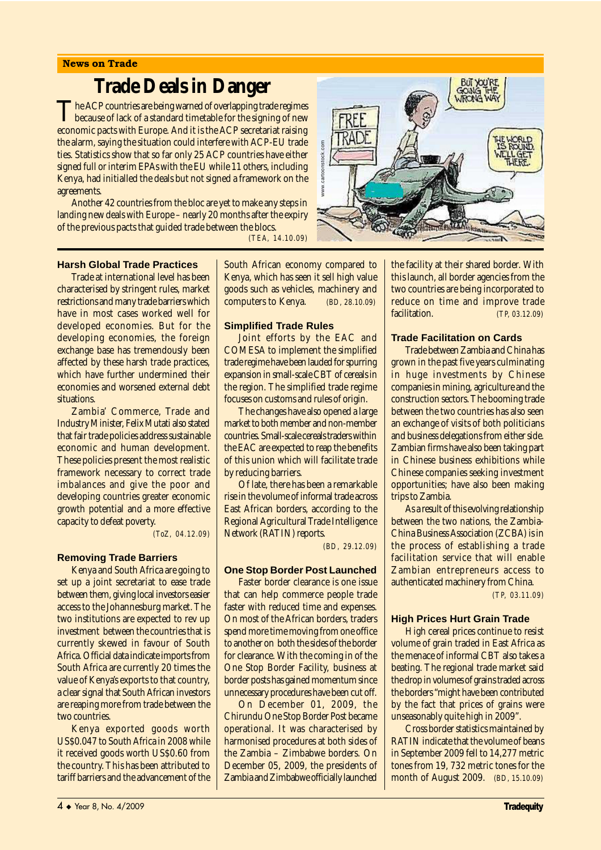# **Trade Deals in Danger**

The ACP countries are being warned of overlapping trade regimes<br>because of lack of a standard timetable for the signing of new economic pacts with Europe. And it is the ACP secretariat raising the alarm, saying the situation could interfere with ACP-EU trade ties. Statistics show that so far only 25 ACP countries have either signed full or interim EPAs with the EU while 11 others, including Kenya, had initialled the deals but not signed a framework on the agreements.

Another 42 countries from the bloc are yet to make any steps in landing new deals with Europe – nearly 20 months after the expiry of the previous pacts that guided trade between the blocs.

*(TEA, 14.10.09)*

### **Harsh Global Trade Practices**

Trade at international level has been characterised by stringent rules, market restrictions and many trade barriers which have in most cases worked well for developed economies. But for the developing economies, the foreign exchange base has tremendously been affected by these harsh trade practices, which have further undermined their economies and worsened external debt situations.

Zambia' Commerce, Trade and Industry Minister, Felix Mutati also stated that fair trade policies address sustainable economic and human development. These policies present the most realistic framework necessary to correct trade imbalances and give the poor and developing countries greater economic growth potential and a more effective capacity to defeat poverty.

*(ToZ, 04.12.09)*

#### **Removing Trade Barriers**

Kenya and South Africa are going to set up a joint secretariat to ease trade between them, giving local investors easier access to the Johannesburg market. The two institutions are expected to rev up investment between the countries that is currently skewed in favour of South Africa. Official data indicate imports from South Africa are currently 20 times the value of Kenya's exports to that country, a clear signal that South African investors are reaping more from trade between the two countries.

Kenya exported goods worth US\$0.047 to South Africa in 2008 while it received goods worth US\$0.60 from the country. This has been attributed to tariff barriers and the advancement of the South African economy compared to Kenya, which has seen it sell high value goods such as vehicles, machinery and computers to Kenya. *(BD, 28.10.09)*

#### **Simplified Trade Rules**

Joint efforts by the EAC and COMESA to implement the simplified trade regime have been lauded for spurring expansion in small-scale CBT of cereals in the region. The simplified trade regime focuses on customs and rules of origin.

The changes have also opened a large market to both member and non-member countries. Small-scale cereals traders within the EAC are expected to reap the benefits of this union which will facilitate trade by reducing barriers.

Of late, there has been a remarkable rise in the volume of informal trade across East African borders, according to the Regional Agricultural Trade Intelligence Network (RATIN) reports.

*(BD, 29.12.09)*

#### **One Stop Border Post Launched**

Faster border clearance is one issue that can help commerce people trade faster with reduced time and expenses. On most of the African borders, traders spend more time moving from one office to another on both the sides of the border for clearance. With the coming in of the One Stop Border Facility, business at border posts has gained momentum since unnecessary procedures have been cut off.

On December 01, 2009, the Chirundu One Stop Border Post became operational. It was characterised by harmonised procedures at both sides of the Zambia – Zimbabwe borders. On December 05, 2009, the presidents of Zambia and Zimbabwe officially launched



the facility at their shared border. With this launch, all border agencies from the two countries are being incorporated to reduce on time and improve trade facilitation. *(TP, 03.12.09)*

### **Trade Facilitation on Cards**

Trade between Zambia and China has grown in the past five years culminating in huge investments by Chinese companies in mining, agriculture and the construction sectors. The booming trade between the two countries has also seen an exchange of visits of both politicians and business delegations from either side. Zambian firms have also been taking part in Chinese business exhibitions while Chinese companies seeking investment opportunities; have also been making trips to Zambia.

As a result of this evolving relationship between the two nations, the Zambia-China Business Association (ZCBA) is in the process of establishing a trade facilitation service that will enable Zambian entrepreneurs access to authenticated machinery from China.

*(TP, 03.11.09)*

## **High Prices Hurt Grain Trade**

High cereal prices continue to resist volume of grain traded in East Africa as the menace of informal CBT also takes a beating. The regional trade market said the drop in volumes of grains traded across the borders "might have been contributed by the fact that prices of grains were unseasonably quite high in 2009".

Cross border statistics maintained by RATIN indicate that the volume of beans in September 2009 fell to 14,277 metric tones from 19, 732 metric tones for the month of August 2009. *(BD, 15.10.09)*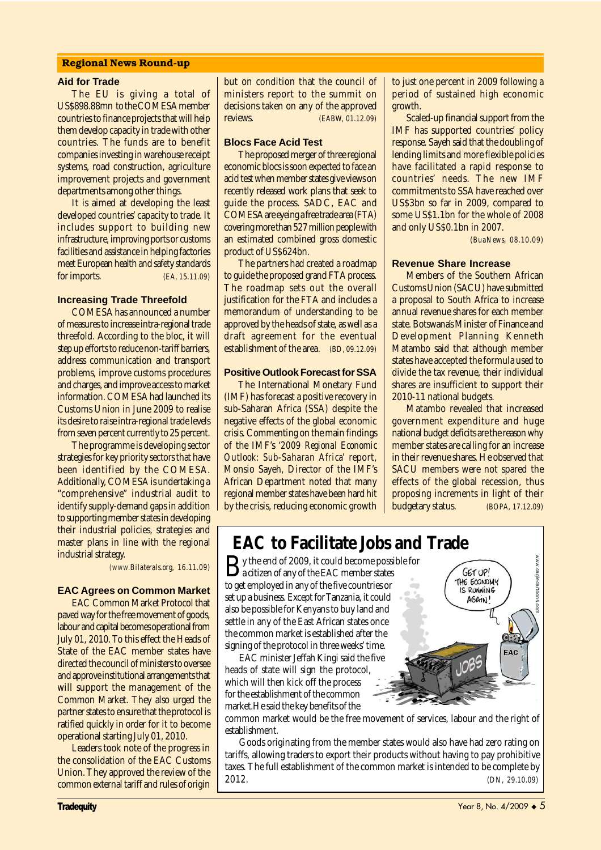#### **Regional News Round-up**

#### **Aid for Trade**

The EU is giving a total of US\$898.88mn to the COMESA member countries to finance projects that will help them develop capacity in trade with other countries. The funds are to benefit companies investing in warehouse receipt systems, road construction, agriculture improvement projects and government departments among other things.

It is aimed at developing the least developed countries' capacity to trade. It includes support to building new infrastructure, improving ports or customs facilities and assistance in helping factories meet European health and safety standards for imports. *(EA, 15.11.09)*

#### **Increasing Trade Threefold**

COMESA has announced a number of measures to increase intra-regional trade threefold. According to the bloc, it will step up efforts to reduce non-tariff barriers, address communication and transport problems, improve customs procedures and charges, and improve access to market information. COMESA had launched its Customs Union in June 2009 to realise its desire to raise intra-regional trade levels from seven percent currently to 25 percent.

The programme is developing sector strategies for key priority sectors that have been identified by the COMESA. Additionally, COMESA is undertaking a "comprehensive" industrial audit to identify supply-demand gaps in addition to supporting member states in developing their industrial policies, strategies and master plans in line with the regional industrial strategy.

*(www.Bilaterals.org, 16.11.09)*

## **EAC Agrees on Common Market**

EAC Common Market Protocol that paved way for the free movement of goods, labour and capital becomes operational from July 01, 2010. To this effect the Heads of State of the EAC member states have directed the council of ministers to oversee and approve institutional arrangements that will support the management of the Common Market. They also urged the partner states to ensure that the protocol is ratified quickly in order for it to become operational starting July 01, 2010.

Leaders took note of the progress in the consolidation of the EAC Customs Union. They approved the review of the common external tariff and rules of origin but on condition that the council of ministers report to the summit on decisions taken on any of the approved reviews. *(EABW, 01.12.09)*

#### **Blocs Face Acid Test**

The proposed merger of three regional economic blocs is soon expected to face an acid test when member states give views on recently released work plans that seek to guide the process. SADC, EAC and COMESA are eyeing a free trade area (FTA) covering more than 527 million people with an estimated combined gross domestic product of US\$624bn.

The partners had created a roadmap to guide the proposed grand FTA process. The roadmap sets out the overall justification for the FTA and includes a memorandum of understanding to be approved by the heads of state, as well as a draft agreement for the eventual establishment of the area. *(BD, 09.12.09)*

### **Positive Outlook Forecast for SSA**

The International Monetary Fund (IMF) has forecast a positive recovery in sub-Saharan Africa (SSA) despite the negative effects of the global economic crisis. Commenting on the main findings of the IMF's *'2009 Regional Economic Outlook: Sub-Saharan Africa'* report, Monsio Sayeh, Director of the IMF's African Department noted that many regional member states have been hard hit by the crisis, reducing economic growth

to just one percent in 2009 following a period of sustained high economic growth.

Scaled-up financial support from the IMF has supported countries' policy response. Sayeh said that the doubling of lending limits and more flexible policies have facilitated a rapid response to countries' needs. The new IMF commitments to SSA have reached over US\$3bn so far in 2009, compared to some US\$1.1bn for the whole of 2008 and only US\$0.1bn in 2007.

 *(BuaNews, 08.10.09)*

#### **Revenue Share Increase**

Members of the Southern African Customs Union (SACU) have submitted a proposal to South Africa to increase annual revenue shares for each member state. Botswana's Minister of Finance and Development Planning Kenneth Matambo said that although member states have accepted the formula used to divide the tax revenue, their individual shares are insufficient to support their 2010-11 national budgets.

Matambo revealed that increased government expenditure and huge national budget deficits are the reason why member states are calling for an increase in their revenue shares. He observed that SACU members were not spared the effects of the global recession, thus proposing increments in light of their budgetary status. *(BOPA, 17.12.09)*

## **EAC to Facilitate Jobs and Trade**

 $\mathbf{B}$ y the end of 2009, it could become possible for<br>a citizen of any of the EAC member states to get employed in any of the five countries or set up a business. Except for Tanzania, it could also be possible for Kenyans to buy land and settle in any of the East African states once the common market is established after the signing of the protocol in three weeks' time.

EAC minister Jeffah Kingi said the five heads of state will sign the protocol, which will then kick off the process for the establishment of the common market.He said the key benefits of the

2012. *(DN, 29.10.09)*www.caglecartoons.com

common market would be the free movement of services, labour and the right of establishment.

Goods originating from the member states would also have had zero rating on tariffs, allowing traders to export their products without having to pay prohibitive taxes. The full establishment of the common market is intended to be complete by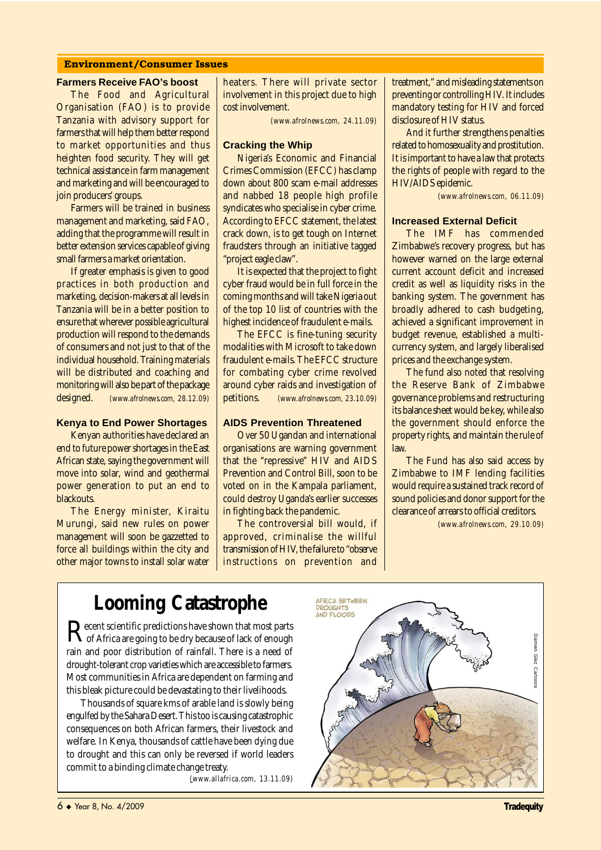## **Environment/Consumer Issues**

#### **Farmers Receive FAO's boost**

The Food and Agricultural Organisation (FAO) is to provide Tanzania with advisory support for farmers that will help them better respond to market opportunities and thus heighten food security. They will get technical assistance in farm management and marketing and will be encouraged to join producers' groups.

Farmers will be trained in business management and marketing, said FAO, adding that the programme will result in better extension services capable of giving small farmers a market orientation.

If greater emphasis is given to good practices in both production and marketing, decision-makers at all levels in Tanzania will be in a better position to ensure that wherever possible agricultural production will respond to the demands of consumers and not just to that of the individual household. Training materials will be distributed and coaching and monitoring will also be part of the package designed. *(www.afrolnews.com, 28.12.09)*

## **Kenya to End Power Shortages**

Kenyan authorities have declared an end to future power shortages in the East African state, saying the government will move into solar, wind and geothermal power generation to put an end to blackouts.

The Energy minister, Kiraitu Murungi, said new rules on power management will soon be gazzetted to force all buildings within the city and other major towns to install solar water

heaters. There will private sector involvement in this project due to high cost involvement.

*(www.afrolnews.com, 24.11.09)*

#### **Cracking the Whip**

Nigeria's Economic and Financial Crimes Commission (EFCC) has clamp down about 800 scam e-mail addresses and nabbed 18 people high profile syndicates who specialise in cyber crime. According to EFCC statement, the latest crack down, is to get tough on Internet fraudsters through an initiative tagged "project eagle claw".

It is expected that the project to fight cyber fraud would be in full force in the coming months and will take Nigeria out of the top 10 list of countries with the highest incidence of fraudulent e-mails.

The EFCC is fine-tuning security modalities with Microsoft to take down fraudulent e-mails. The EFCC structure for combating cyber crime revolved around cyber raids and investigation of petitions. *(www.afrolnews.com, 23.10.09)*

#### **AIDS Prevention Threatened**

Over 50 Ugandan and international organisations are warning government that the "repressive" HIV and AIDS Prevention and Control Bill, soon to be voted on in the Kampala parliament, could destroy Uganda's earlier successes in fighting back the pandemic.

The controversial bill would, if approved, criminalise the willful transmission of HIV, the failure to "observe instructions on prevention and

treatment," and misleading statements on preventing or controlling HIV. It includes mandatory testing for HIV and forced disclosure of HIV status.

And it further strengthens penalties related to homosexuality and prostitution. It is important to have a law that protects the rights of people with regard to the HIV/AIDS epidemic.

*(www.afrolnews.com, 06.11.09)*

#### **Increased External Deficit**

The IMF has commended Zimbabwe's recovery progress, but has however warned on the large external current account deficit and increased credit as well as liquidity risks in the banking system. The government has broadly adhered to cash budgeting, achieved a significant improvement in budget revenue, established a multicurrency system, and largely liberalised prices and the exchange system.

The fund also noted that resolving the Reserve Bank of Zimbabwe governance problems and restructuring its balance sheet would be key, while also the government should enforce the property rights, and maintain the rule of law.

The Fund has also said access by Zimbabwe to IMF lending facilities would require a sustained track record of sound policies and donor support for the clearance of arrears to official creditors.

*(www.afrolnews.com, 29.10.09)*

# **Looming Catastrophe**

Recent scientific predictions have shown that most parts<br>of Africa are going to be dry because of lack of enough rain and poor distribution of rainfall. There is a need of drought-tolerant crop varieties which are accessible to farmers. Most communities in Africa are dependent on farming and this bleak picture could be devastating to their livelihoods.

Thousands of square kms of arable land is slowly being engulfed by the Sahara Desert. This too is causing catastrophic consequences on both African farmers, their livestock and welfare. In Kenya, thousands of cattle have been dying due to drought and this can only be reversed if world leaders commit to a binding climate change treaty.

*(www.allafrica.com, 13.11.09)*

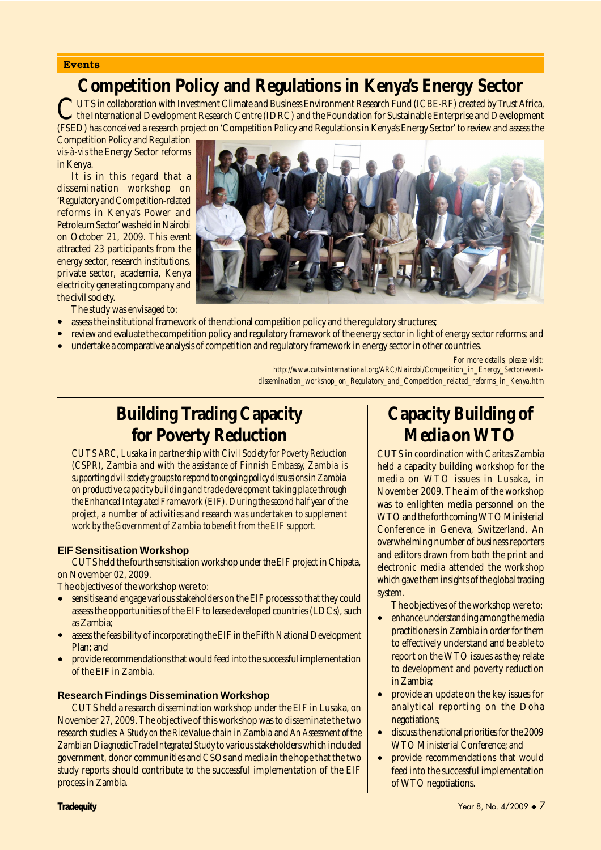#### **Events**

## **Competition Policy and Regulations in Kenya's Energy Sector**

UTS in collaboration with Investment Climate and Business Environment Research Fund (ICBE-RF) created by Trust Africa,<br>the International Development Research Centre (IDRC) and the Foundation for Sustainable Enterprise and (FSED) has conceived a research project on 'Competition Policy and Regulations in Kenya's Energy Sector' to review and assess the

Competition Policy and Regulation *vis-à-vis* the Energy Sector reforms in Kenya.

It is in this regard that a dissemination workshop on 'Regulatory and Competition-related reforms in Kenya's Power and Petroleum Sector' was held in Nairobi on October 21, 2009. This event attracted 23 participants from the energy sector, research institutions, private sector, academia, Kenya electricity generating company and the civil society.

The study was envisaged to:

- assess the institutional framework of the national competition policy and the regulatory structures;
- review and evaluate the competition policy and regulatory framework of the energy sector in light of energy sector reforms; and
- undertake a comparative analysis of competition and regulatory framework in energy sector in other countries.

*For more details, please visit:*

*http://www.cuts-international.org/ARC/Nairobi/Competition\_in\_Energy\_Sector/eventdissemination\_workshop\_on\_Regulatory\_and\_Competition\_related\_reforms\_in\_Kenya.htm*

## **Building Trading Capacity for Poverty Reduction**

*CUTS ARC, Lusaka in partnership with Civil Society for Poverty Reduction (CSPR), Zambia and with the assistance of Finnish Embassy, Zambia is supporting civil society groups to respond to ongoing policy discussions in Zambia on productive capacity building and trade development taking place through the Enhanced Integrated Framework (EIF). During the second half year of the project, a number of activities and research was undertaken to supplement work by the Government of Zambia to benefit from the EIF support.*

### **EIF Sensitisation Workshop**

CUTS held the fourth sensitisation workshop under the EIF project in Chipata, on November 02, 2009.

The objectives of the workshop were to:

- sensitise and engage various stakeholders on the EIF process so that they could assess the opportunities of the EIF to lease developed countries (LDCs), such as Zambia;
- assess the feasibility of incorporating the EIF in the Fifth National Development Plan; and
- provide recommendations that would feed into the successful implementation of the EIF in Zambia.

## **Research Findings Dissemination Workshop**

CUTS held a research dissemination workshop under the EIF in Lusaka, on November 27, 2009. The objective of this workshop was to disseminate the two research studies: *A Study on the Rice Value-chain in Zambia* and *An Assessment of the Zambian Diagnostic Trade Integrated Study* to various stakeholders which included government, donor communities and CSOs and media in the hope that the two study reports should contribute to the successful implementation of the EIF process in Zambia.

## **Capacity Building of Media on WTO**

CUTS in coordination with Caritas Zambia held a capacity building workshop for the media on WTO issues in Lusaka, in November 2009. The aim of the workshop was to enlighten media personnel on the WTO and the forthcoming WTO Ministerial Conference in Geneva, Switzerland. An overwhelming number of business reporters and editors drawn from both the print and electronic media attended the workshop which gave them insights of the global trading system.

The objectives of the workshop were to:

- enhance understanding among the media practitioners in Zambia in order for them to effectively understand and be able to report on the WTO issues as they relate to development and poverty reduction in Zambia;
- provide an update on the key issues for analytical reporting on the Doha negotiations;
- discuss the national priorities for the 2009 WTO Ministerial Conference; and
- provide recommendations that would feed into the successful implementation of WTO negotiations.